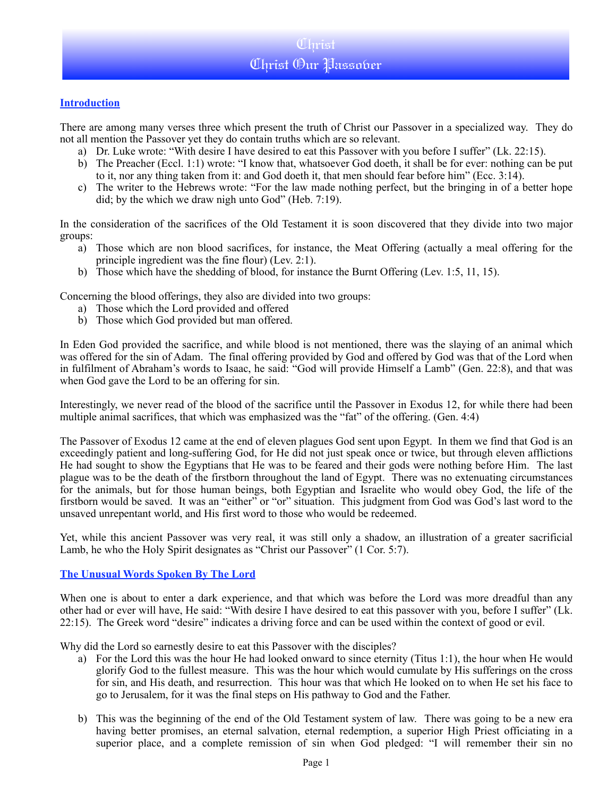### Christ Christ Our Passover

#### **Introduction**

There are among many verses three which present the truth of Christ our Passover in a specialized way. They do not all mention the Passover yet they do contain truths which are so relevant.

- a) Dr. Luke wrote: "With desire I have desired to eat this Passover with you before I suffer" (Lk. 22:15).
- b) The Preacher (Eccl. 1:1) wrote: "I know that, whatsoever God doeth, it shall be for ever: nothing can be put to it, nor any thing taken from it: and God doeth it, that men should fear before him" (Ecc. 3:14).
- c) The writer to the Hebrews wrote: "For the law made nothing perfect, but the bringing in of a better hope did; by the which we draw nigh unto God" (Heb. 7:19).

In the consideration of the sacrifices of the Old Testament it is soon discovered that they divide into two major groups:

- a) Those which are non blood sacrifices, for instance, the Meat Offering (actually a meal offering for the principle ingredient was the fine flour) (Lev. 2:1).
- b) Those which have the shedding of blood, for instance the Burnt Offering (Lev. 1:5, 11, 15).

Concerning the blood offerings, they also are divided into two groups:

- a) Those which the Lord provided and offered
- b) Those which God provided but man offered.

In Eden God provided the sacrifice, and while blood is not mentioned, there was the slaying of an animal which was offered for the sin of Adam. The final offering provided by God and offered by God was that of the Lord when in fulfilment of Abraham's words to Isaac, he said: "God will provide Himself a Lamb" (Gen. 22:8), and that was when God gave the Lord to be an offering for sin.

Interestingly, we never read of the blood of the sacrifice until the Passover in Exodus 12, for while there had been multiple animal sacrifices, that which was emphasized was the "fat" of the offering. (Gen. 4:4)

The Passover of Exodus 12 came at the end of eleven plagues God sent upon Egypt. In them we find that God is an exceedingly patient and long-suffering God, for He did not just speak once or twice, but through eleven afflictions He had sought to show the Egyptians that He was to be feared and their gods were nothing before Him. The last plague was to be the death of the firstborn throughout the land of Egypt. There was no extenuating circumstances for the animals, but for those human beings, both Egyptian and Israelite who would obey God, the life of the firstborn would be saved. It was an "either" or "or" situation. This judgment from God was God's last word to the unsaved unrepentant world, and His first word to those who would be redeemed.

Yet, while this ancient Passover was very real, it was still only a shadow, an illustration of a greater sacrificial Lamb, he who the Holy Spirit designates as "Christ our Passover" (1 Cor. 5:7).

#### **The Unusual Words Spoken By The Lord**

When one is about to enter a dark experience, and that which was before the Lord was more dreadful than any other had or ever will have, He said: "With desire I have desired to eat this passover with you, before I suffer" (Lk. 22:15). The Greek word "desire" indicates a driving force and can be used within the context of good or evil.

Why did the Lord so earnestly desire to eat this Passover with the disciples?

- a) For the Lord this was the hour He had looked onward to since eternity (Titus 1:1), the hour when He would glorify God to the fullest measure. This was the hour which would cumulate by His sufferings on the cross for sin, and His death, and resurrection. This hour was that which He looked on to when He set his face to go to Jerusalem, for it was the final steps on His pathway to God and the Father.
- b) This was the beginning of the end of the Old Testament system of law. There was going to be a new era having better promises, an eternal salvation, eternal redemption, a superior High Priest officiating in a superior place, and a complete remission of sin when God pledged: "I will remember their sin no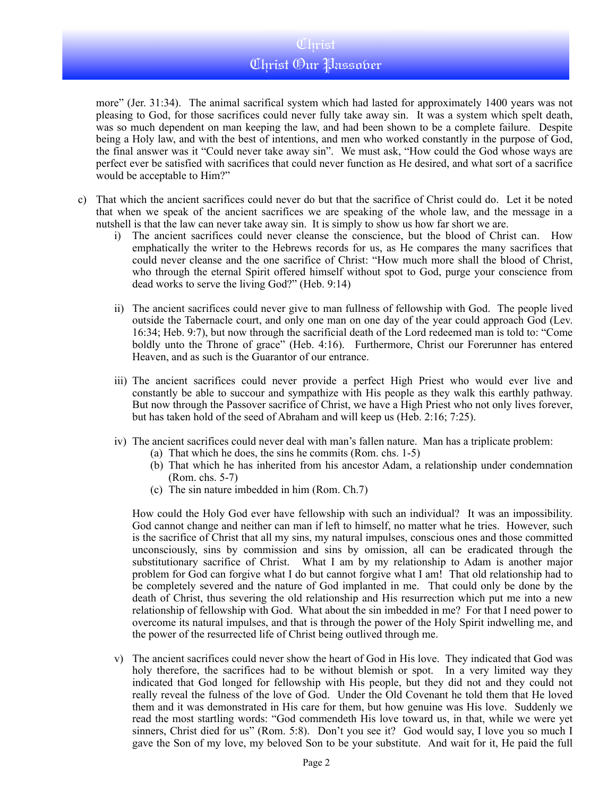### Christ Christ Our Passover

more" (Jer. 31:34). The animal sacrifical system which had lasted for approximately 1400 years was not pleasing to God, for those sacrifices could never fully take away sin. It was a system which spelt death, was so much dependent on man keeping the law, and had been shown to be a complete failure. Despite being a Holy law, and with the best of intentions, and men who worked constantly in the purpose of God, the final answer was it "Could never take away sin". We must ask, "How could the God whose ways are perfect ever be satisfied with sacrifices that could never function as He desired, and what sort of a sacrifice would be acceptable to Him?"

- c) That which the ancient sacrifices could never do but that the sacrifice of Christ could do. Let it be noted that when we speak of the ancient sacrifices we are speaking of the whole law, and the message in a nutshell is that the law can never take away sin. It is simply to show us how far short we are.
	- i) The ancient sacrifices could never cleanse the conscience, but the blood of Christ can. How emphatically the writer to the Hebrews records for us, as He compares the many sacrifices that could never cleanse and the one sacrifice of Christ: "How much more shall the blood of Christ, who through the eternal Spirit offered himself without spot to God, purge your conscience from dead works to serve the living God?" (Heb. 9:14)
	- ii) The ancient sacrifices could never give to man fullness of fellowship with God. The people lived outside the Tabernacle court, and only one man on one day of the year could approach God (Lev. 16:34; Heb. 9:7), but now through the sacrificial death of the Lord redeemed man is told to: "Come boldly unto the Throne of grace" (Heb. 4:16). Furthermore, Christ our Forerunner has entered Heaven, and as such is the Guarantor of our entrance.
	- iii) The ancient sacrifices could never provide a perfect High Priest who would ever live and constantly be able to succour and sympathize with His people as they walk this earthly pathway. But now through the Passover sacrifice of Christ, we have a High Priest who not only lives forever, but has taken hold of the seed of Abraham and will keep us (Heb. 2:16; 7:25).
	- iv) The ancient sacrifices could never deal with man's fallen nature. Man has a triplicate problem:
		- (a) That which he does, the sins he commits (Rom. chs. 1-5)
		- (b) That which he has inherited from his ancestor Adam, a relationship under condemnation (Rom. chs. 5-7)
		- (c) The sin nature imbedded in him (Rom. Ch.7)

How could the Holy God ever have fellowship with such an individual? It was an impossibility. God cannot change and neither can man if left to himself, no matter what he tries. However, such is the sacrifice of Christ that all my sins, my natural impulses, conscious ones and those committed unconsciously, sins by commission and sins by omission, all can be eradicated through the substitutionary sacrifice of Christ. What I am by my relationship to Adam is another major problem for God can forgive what I do but cannot forgive what I am! That old relationship had to be completely severed and the nature of God implanted in me. That could only be done by the death of Christ, thus severing the old relationship and His resurrection which put me into a new relationship of fellowship with God. What about the sin imbedded in me? For that I need power to overcome its natural impulses, and that is through the power of the Holy Spirit indwelling me, and the power of the resurrected life of Christ being outlived through me.

v) The ancient sacrifices could never show the heart of God in His love. They indicated that God was holy therefore, the sacrifices had to be without blemish or spot. In a very limited way they indicated that God longed for fellowship with His people, but they did not and they could not really reveal the fulness of the love of God. Under the Old Covenant he told them that He loved them and it was demonstrated in His care for them, but how genuine was His love. Suddenly we read the most startling words: "God commendeth His love toward us, in that, while we were yet sinners, Christ died for us" (Rom. 5:8). Don't you see it? God would say, I love you so much I gave the Son of my love, my beloved Son to be your substitute. And wait for it, He paid the full